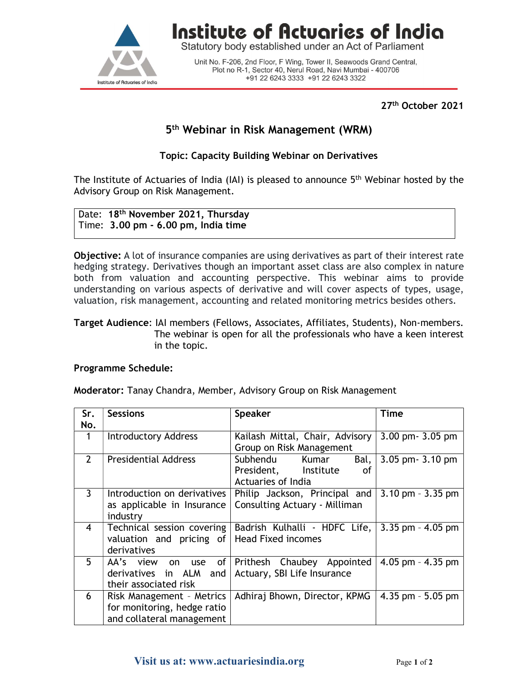

# Institute of Actuaries of India

Statutory body established under an Act of Parliament

Unit No. F-206, 2nd Floor, F Wing, Tower II, Seawoods Grand Central, Plot no R-1, Sector 40, Nerul Road, Navi Mumbai - 400706 +91 22 6243 3333 +91 22 6243 3322

27th October 2021

# 5 th Webinar in Risk Management (WRM)

### Topic: Capacity Building Webinar on Derivatives

The Institute of Actuaries of India (IAI) is pleased to announce 5<sup>th</sup> Webinar hosted by the Advisory Group on Risk Management.

#### Date: 18<sup>th</sup> November 2021, Thursday Time: 3.00 pm - 6.00 pm, India time

**Objective:** A lot of insurance companies are using derivatives as part of their interest rate hedging strategy. Derivatives though an important asset class are also complex in nature both from valuation and accounting perspective. This webinar aims to provide understanding on various aspects of derivative and will cover aspects of types, usage, valuation, risk management, accounting and related monitoring metrics besides others.

#### Target Audience: IAI members (Fellows, Associates, Affiliates, Students), Non-members. The webinar is open for all the professionals who have a keen interest in the topic.

#### Programme Schedule:

Moderator: Tanay Chandra, Member, Advisory Group on Risk Management

| Sr.<br>No.     | <b>Sessions</b>                                                                       | <b>Speaker</b>                                                                   | <b>Time</b>                         |
|----------------|---------------------------------------------------------------------------------------|----------------------------------------------------------------------------------|-------------------------------------|
|                | <b>Introductory Address</b>                                                           | Kailash Mittal, Chair, Advisory<br>Group on Risk Management                      | 3.00 pm - 3.05 pm                   |
| $\mathbf{2}$   | <b>Presidential Address</b>                                                           | Subhendu<br>Bal,<br>Kumar<br>President,<br>Institute<br>οf<br>Actuaries of India | 3.05 pm - 3.10 pm                   |
| 3.             | Introduction on derivatives<br>as applicable in Insurance<br>industry                 | Philip Jackson, Principal and<br>Consulting Actuary - Milliman                   | $3.10 \text{ pm} - 3.35 \text{ pm}$ |
| $\overline{4}$ | Technical session covering  <br>valuation and pricing of<br>derivatives               | Badrish Kulhalli - HDFC Life,<br><b>Head Fixed incomes</b>                       | $3.35$ pm - $4.05$ pm               |
| 5 <sup>1</sup> | AA's view on use of<br>derivatives in $ALM$ and<br>their associated risk              | Prithesh Chaubey Appointed<br>Actuary, SBI Life Insurance                        | 4.05 pm $-$ 4.35 pm                 |
| 6              | Risk Management - Metrics<br>for monitoring, hedge ratio<br>and collateral management | Adhiraj Bhown, Director, KPMG                                                    | $4.35$ pm $-5.05$ pm                |

## Visit us at: www.actuariesindia.org Page 1 of 2